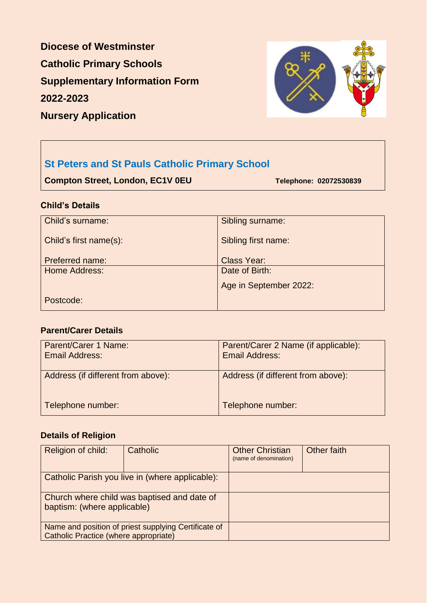**Diocese of Westminster Catholic Primary Schools Supplementary Information Form 2022-2023**



## **Nursery Application**

# **St Peters and St Pauls Catholic Primary School**

**Compton Street, London, EC1V 0EU Telephone: 02072530839** 

### **Child's Details**

| Child's surname:       | Sibling surname:       |
|------------------------|------------------------|
| Child's first name(s): | Sibling first name:    |
| <b>Preferred name:</b> | <b>Class Year:</b>     |
| <b>Home Address:</b>   | Date of Birth:         |
|                        | Age in September 2022: |
| Postcode:              |                        |

## **Parent/Carer Details**

| Parent/Carer 1 Name:<br><b>Email Address:</b> | Parent/Carer 2 Name (if applicable):<br><b>Email Address:</b> |
|-----------------------------------------------|---------------------------------------------------------------|
| Address (if different from above):            | Address (if different from above):                            |
| Telephone number:                             | Telephone number:                                             |

### **Details of Religion**

| Religion of child:                                                         | Catholic                                             | <b>Other Christian</b><br>(name of denomination) | Other faith |
|----------------------------------------------------------------------------|------------------------------------------------------|--------------------------------------------------|-------------|
|                                                                            | Catholic Parish you live in (where applicable):      |                                                  |             |
| Church where child was baptised and date of<br>baptism: (where applicable) |                                                      |                                                  |             |
| <b>Catholic Practice (where appropriate)</b>                               | Name and position of priest supplying Certificate of |                                                  |             |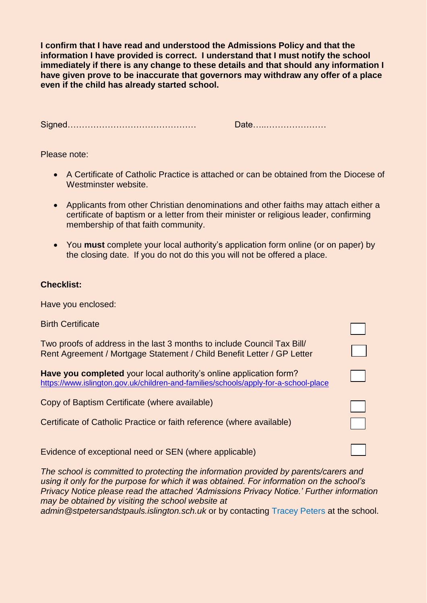**I confirm that I have read and understood the Admissions Policy and that the information I have provided is correct. I understand that I must notify the school immediately if there is any change to these details and that should any information I have given prove to be inaccurate that governors may withdraw any offer of a place even if the child has already started school.**

Signed……………………………………… Date…..…………………

Please note:

- A Certificate of Catholic Practice is attached or can be obtained from the Diocese of Westminster website.
- Applicants from other Christian denominations and other faiths may attach either a certificate of baptism or a letter from their minister or religious leader, confirming membership of that faith community.
- You **must** complete your local authority's application form online (or on paper) by the closing date. If you do not do this you will not be offered a place.

#### **Checklist:**

Have you enclosed:

| <b>Birth Certificate</b>                                                                                                                                  |  |
|-----------------------------------------------------------------------------------------------------------------------------------------------------------|--|
| Two proofs of address in the last 3 months to include Council Tax Bill/<br>Rent Agreement / Mortgage Statement / Child Benefit Letter / GP Letter         |  |
| Have you completed your local authority's online application form?<br>https://www.islington.gov.uk/children-and-families/schools/apply-for-a-school-place |  |
| Copy of Baptism Certificate (where available)                                                                                                             |  |
| Certificate of Catholic Practice or faith reference (where available)                                                                                     |  |
| Evidence of exceptional need or SEN (where applicable)                                                                                                    |  |

*The school is committed to protecting the information provided by parents/carers and using it only for the purpose for which it was obtained. For information on the school's Privacy Notice please read the attached 'Admissions Privacy Notice.' Further information may be obtained by visiting the school website at*

*admin@stpetersandstpauls.islington.sch.uk* or by contacting Tracey Peters at the school.